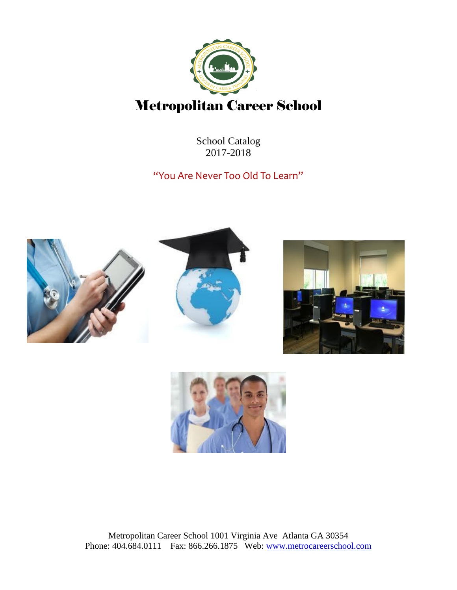

School Catalog 2017-2018

"You Are Never Too Old To Learn"





Metropolitan Career School 1001 Virginia Ave Atlanta GA 30354 Phone: 404.684.0111 Fax: 866.266.1875 Web: [www.metrocareerschool.com](http://www.metrocareerschool.com/)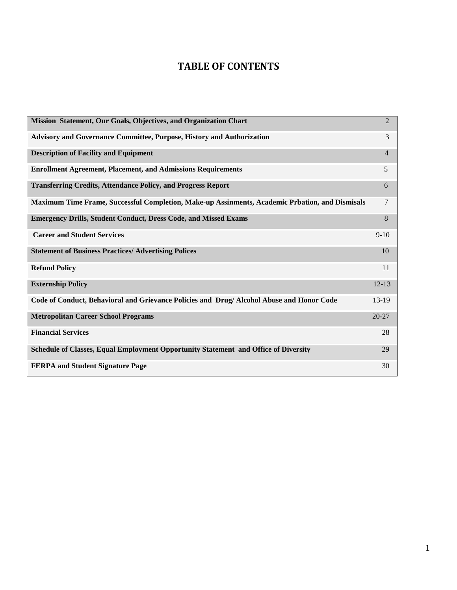### **TABLE OF CONTENTS**

| Mission Statement, Our Goals, Objectives, and Organization Chart                                | $\overline{2}$ |
|-------------------------------------------------------------------------------------------------|----------------|
| Advisory and Governance Committee, Purpose, History and Authorization                           | 3              |
| <b>Description of Facility and Equipment</b>                                                    | $\overline{4}$ |
| <b>Enrollment Agreement, Placement, and Admissions Requirements</b>                             | 5              |
| <b>Transferring Credits, Attendance Policy, and Progress Report</b>                             | 6              |
| Maximum Time Frame, Successful Completion, Make-up Assinments, Academic Prbation, and Dismisals | $\tau$         |
| <b>Emergency Drills, Student Conduct, Dress Code, and Missed Exams</b>                          | 8              |
| <b>Career and Student Services</b>                                                              | $9-10$         |
| <b>Statement of Business Practices/ Advertising Polices</b>                                     | 10             |
| <b>Refund Policy</b>                                                                            | 11             |
| <b>Externship Policy</b>                                                                        | $12 - 13$      |
| Code of Conduct, Behavioral and Grievance Policies and Drug/ Alcohol Abuse and Honor Code       | $13-19$        |
| <b>Metropolitan Career School Programs</b>                                                      | $20 - 27$      |
| <b>Financial Services</b>                                                                       | 28             |
| Schedule of Classes, Equal Employment Opportunity Statement and Office of Diversity             | 29             |
| <b>FERPA and Student Signature Page</b>                                                         | 30             |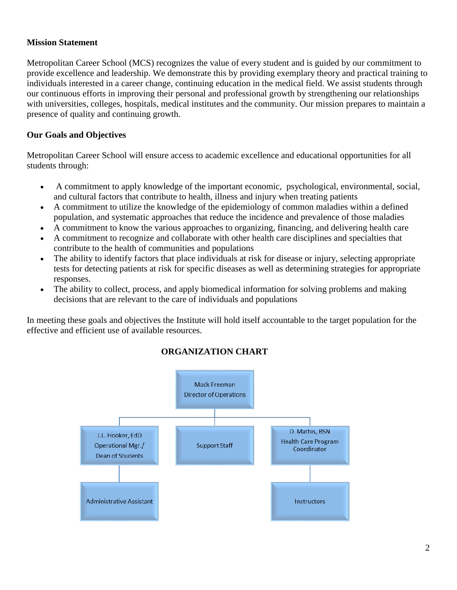#### **Mission Statement**

Metropolitan Career School (MCS) recognizes the value of every student and is guided by our commitment to provide excellence and leadership. We demonstrate this by providing exemplary theory and practical training to individuals interested in a career change, continuing education in the medical field. We assist students through our continuous efforts in improving their personal and professional growth by strengthening our relationships with universities, colleges, hospitals, medical institutes and the community. Our mission prepares to maintain a presence of quality and continuing growth.

#### **Our Goals and Objectives**

Metropolitan Career School will ensure access to academic excellence and educational opportunities for all students through:

- A commitment to apply knowledge of the important economic, psychological, environmental, social, and cultural factors that contribute to health, illness and injury when treating patients
- A commitment to utilize the knowledge of the epidemiology of common maladies within a defined population, and systematic approaches that reduce the incidence and prevalence of those maladies
- A commitment to know the various approaches to organizing, financing, and delivering health care
- A commitment to recognize and collaborate with other health care disciplines and specialties that contribute to the health of communities and populations
- The ability to identify factors that place individuals at risk for disease or injury, selecting appropriate tests for detecting patients at risk for specific diseases as well as determining strategies for appropriate responses.
- The ability to collect, process, and apply biomedical information for solving problems and making decisions that are relevant to the care of individuals and populations

In meeting these goals and objectives the Institute will hold itself accountable to the target population for the effective and efficient use of available resources.



#### **ORGANIZATION CHART**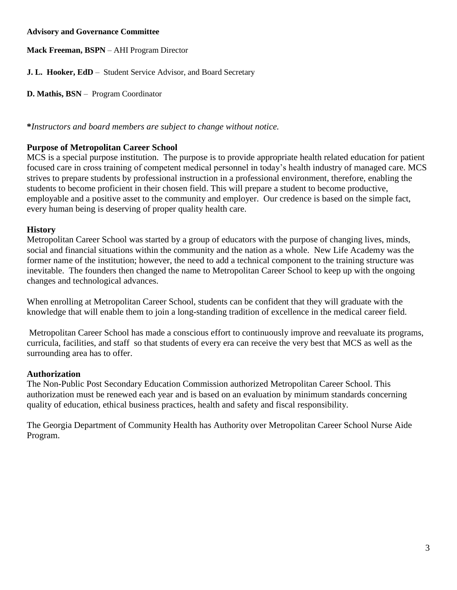#### **Advisory and Governance Committee**

**Mack Freeman, BSPN** – AHI Program Director

**J. L. Hooker, EdD** – Student Service Advisor, and Board Secretary

**D. Mathis, BSN** – Program Coordinator

**\****Instructors and board members are subject to change without notice.*

#### **Purpose of Metropolitan Career School**

MCS is a special purpose institution. The purpose is to provide appropriate health related education for patient focused care in cross training of competent medical personnel in today's health industry of managed care. MCS strives to prepare students by professional instruction in a professional environment, therefore, enabling the students to become proficient in their chosen field. This will prepare a student to become productive, employable and a positive asset to the community and employer. Our credence is based on the simple fact, every human being is deserving of proper quality health care.

#### **History**

Metropolitan Career School was started by a group of educators with the purpose of changing lives, minds, social and financial situations within the community and the nation as a whole. New Life Academy was the former name of the institution; however, the need to add a technical component to the training structure was inevitable. The founders then changed the name to Metropolitan Career School to keep up with the ongoing changes and technological advances.

When enrolling at Metropolitan Career School, students can be confident that they will graduate with the knowledge that will enable them to join a long-standing tradition of excellence in the medical career field.

Metropolitan Career School has made a conscious effort to continuously improve and reevaluate its programs, curricula, facilities, and staff so that students of every era can receive the very best that MCS as well as the surrounding area has to offer.

#### **Authorization**

The Non-Public Post Secondary Education Commission authorized Metropolitan Career School. This authorization must be renewed each year and is based on an evaluation by minimum standards concerning quality of education, ethical business practices, health and safety and fiscal responsibility.

The Georgia Department of Community Health has Authority over Metropolitan Career School Nurse Aide Program.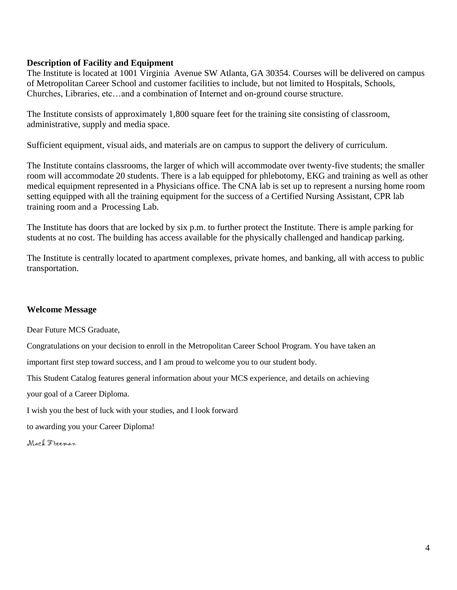#### **Description of Facility and Equipment**

The Institute is located at 1001 Virginia Avenue SW Atlanta, GA 30354. Courses will be delivered on campus of Metropolitan Career School and customer facilities to include, but not limited to Hospitals, Schools, Churches, Libraries, etc…and a combination of Internet and on-ground course structure.

The Institute consists of approximately 1,800 square feet for the training site consisting of classroom, administrative, supply and media space.

Sufficient equipment, visual aids, and materials are on campus to support the delivery of curriculum.

The Institute contains classrooms, the larger of which will accommodate over twenty-five students; the smaller room will accommodate 20 students. There is a lab equipped for phlebotomy, EKG and training as well as other medical equipment represented in a Physicians office. The CNA lab is set up to represent a nursing home room setting equipped with all the training equipment for the success of a Certified Nursing Assistant, CPR lab training room and a Processing Lab.

The Institute has doors that are locked by six p.m. to further protect the Institute. There is ample parking for students at no cost. The building has access available for the physically challenged and handicap parking.

The Institute is centrally located to apartment complexes, private homes, and banking, all with access to public transportation.

#### **Welcome Message**

Dear Future MCS Graduate,

Congratulations on your decision to enroll in the Metropolitan Career School Program. You have taken an

important first step toward success, and I am proud to welcome you to our student body.

This Student Catalog features general information about your MCS experience, and details on achieving

your goal of a Career Diploma.

I wish you the best of luck with your studies, and I look forward

to awarding you your Career Diploma!

Mack Freeman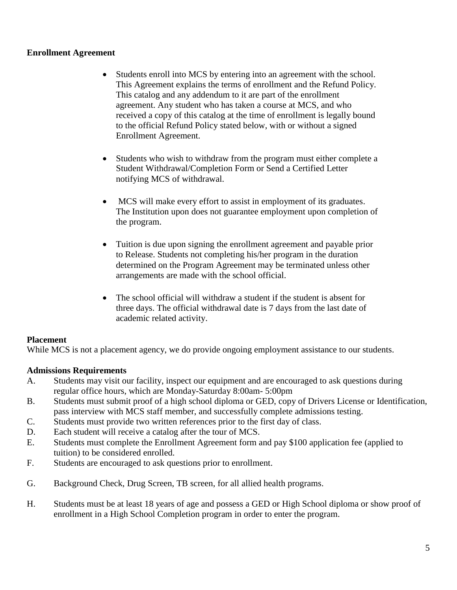#### **Enrollment Agreement**

- Students enroll into MCS by entering into an agreement with the school. This Agreement explains the terms of enrollment and the Refund Policy. This catalog and any addendum to it are part of the enrollment agreement. Any student who has taken a course at MCS, and who received a copy of this catalog at the time of enrollment is legally bound to the official Refund Policy stated below, with or without a signed Enrollment Agreement.
- Students who wish to withdraw from the program must either complete a Student Withdrawal/Completion Form or Send a Certified Letter notifying MCS of withdrawal.
- MCS will make every effort to assist in employment of its graduates. The Institution upon does not guarantee employment upon completion of the program.
- Tuition is due upon signing the enrollment agreement and payable prior to Release. Students not completing his/her program in the duration determined on the Program Agreement may be terminated unless other arrangements are made with the school official.
- The school official will withdraw a student if the student is absent for three days. The official withdrawal date is 7 days from the last date of academic related activity.

#### **Placement**

While MCS is not a placement agency, we do provide ongoing employment assistance to our students.

#### **Admissions Requirements**

- A. Students may visit our facility, inspect our equipment and are encouraged to ask questions during regular office hours, which are Monday-Saturday 8:00am- 5:00pm
- B. Students must submit proof of a high school diploma or GED, copy of Drivers License or Identification, pass interview with MCS staff member, and successfully complete admissions testing.
- C. Students must provide two written references prior to the first day of class.
- D. Each student will receive a catalog after the tour of MCS.
- E. Students must complete the Enrollment Agreement form and pay \$100 application fee (applied to tuition) to be considered enrolled.
- F. Students are encouraged to ask questions prior to enrollment.
- G. Background Check, Drug Screen, TB screen, for all allied health programs.
- H. Students must be at least 18 years of age and possess a GED or High School diploma or show proof of enrollment in a High School Completion program in order to enter the program.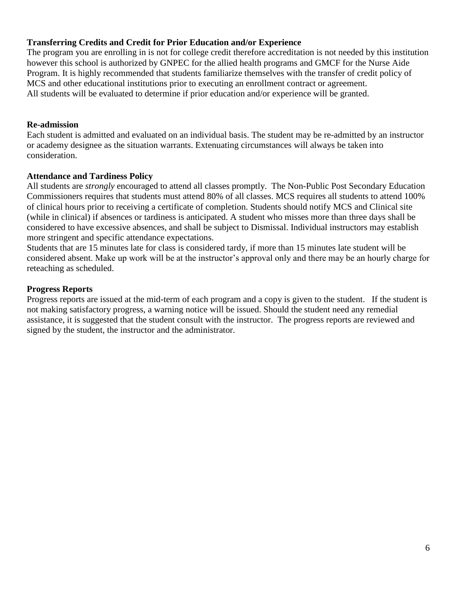#### **Transferring Credits and Credit for Prior Education and/or Experience**

The program you are enrolling in is not for college credit therefore accreditation is not needed by this institution however this school is authorized by GNPEC for the allied health programs and GMCF for the Nurse Aide Program. It is highly recommended that students familiarize themselves with the transfer of credit policy of MCS and other educational institutions prior to executing an enrollment contract or agreement. All students will be evaluated to determine if prior education and/or experience will be granted.

#### **Re-admission**

Each student is admitted and evaluated on an individual basis. The student may be re-admitted by an instructor or academy designee as the situation warrants. Extenuating circumstances will always be taken into consideration.

#### **Attendance and Tardiness Policy**

All students are *strongly* encouraged to attend all classes promptly. The Non-Public Post Secondary Education Commissioners requires that students must attend 80% of all classes. MCS requires all students to attend 100% of clinical hours prior to receiving a certificate of completion. Students should notify MCS and Clinical site (while in clinical) if absences or tardiness is anticipated. A student who misses more than three days shall be considered to have excessive absences, and shall be subject to Dismissal. Individual instructors may establish more stringent and specific attendance expectations.

Students that are 15 minutes late for class is considered tardy, if more than 15 minutes late student will be considered absent. Make up work will be at the instructor's approval only and there may be an hourly charge for reteaching as scheduled.

#### **Progress Reports**

Progress reports are issued at the mid-term of each program and a copy is given to the student. If the student is not making satisfactory progress, a warning notice will be issued. Should the student need any remedial assistance, it is suggested that the student consult with the instructor. The progress reports are reviewed and signed by the student, the instructor and the administrator.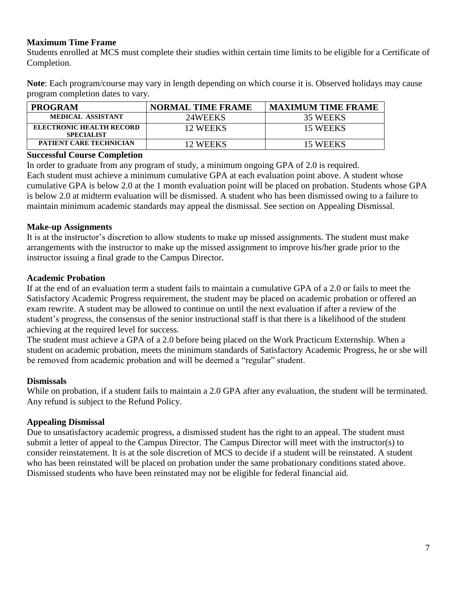#### **Maximum Time Frame**

Students enrolled at MCS must complete their studies within certain time limits to be eligible for a Certificate of Completion.

**Note**: Each program/course may vary in length depending on which course it is. Observed holidays may cause program completion dates to vary.

| <b>PROGRAM</b>                                       | <b>NORMAL TIME FRAME</b> | <b>MAXIMUM TIME FRAME</b> |
|------------------------------------------------------|--------------------------|---------------------------|
| <b>MEDICAL ASSISTANT</b>                             | 24WEEKS                  | 35 WEEKS                  |
| <b>ELECTRONIC HEALTH RECORD</b><br><b>SPECIALIST</b> | 12 WEEKS                 | 15 WEEKS                  |
| PATIENT CARE TECHNICIAN                              | 12 WEEKS                 | 15 WEEKS                  |

#### **Successful Course Completion**

In order to graduate from any program of study, a minimum ongoing GPA of 2.0 is required. Each student must achieve a minimum cumulative GPA at each evaluation point above. A student whose cumulative GPA is below 2.0 at the 1 month evaluation point will be placed on probation. Students whose GPA is below 2.0 at midterm evaluation will be dismissed. A student who has been dismissed owing to a failure to maintain minimum academic standards may appeal the dismissal. See section on Appealing Dismissal.

#### **Make-up Assignments**

It is at the instructor's discretion to allow students to make up missed assignments. The student must make arrangements with the instructor to make up the missed assignment to improve his/her grade prior to the instructor issuing a final grade to the Campus Director.

#### **Academic Probation**

If at the end of an evaluation term a student fails to maintain a cumulative GPA of a 2.0 or fails to meet the Satisfactory Academic Progress requirement, the student may be placed on academic probation or offered an exam rewrite. A student may be allowed to continue on until the next evaluation if after a review of the student's progress, the consensus of the senior instructional staff is that there is a likelihood of the student achieving at the required level for success.

The student must achieve a GPA of a 2.0 before being placed on the Work Practicum Externship. When a student on academic probation, meets the minimum standards of Satisfactory Academic Progress, he or she will be removed from academic probation and will be deemed a "regular" student.

#### **Dismissals**

While on probation, if a student fails to maintain a 2.0 GPA after any evaluation, the student will be terminated. Any refund is subject to the Refund Policy.

#### **Appealing Dismissal**

Due to unsatisfactory academic progress, a dismissed student has the right to an appeal. The student must submit a letter of appeal to the Campus Director. The Campus Director will meet with the instructor(s) to consider reinstatement. It is at the sole discretion of MCS to decide if a student will be reinstated. A student who has been reinstated will be placed on probation under the same probationary conditions stated above. Dismissed students who have been reinstated may not be eligible for federal financial aid.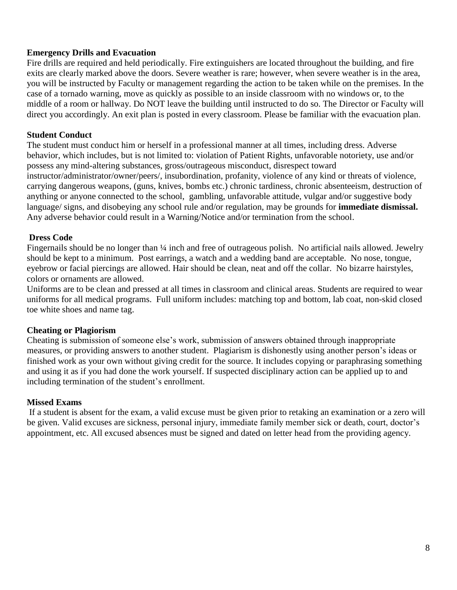#### **Emergency Drills and Evacuation**

Fire drills are required and held periodically. Fire extinguishers are located throughout the building, and fire exits are clearly marked above the doors. Severe weather is rare; however, when severe weather is in the area, you will be instructed by Faculty or management regarding the action to be taken while on the premises. In the case of a tornado warning, move as quickly as possible to an inside classroom with no windows or, to the middle of a room or hallway. Do NOT leave the building until instructed to do so. The Director or Faculty will direct you accordingly. An exit plan is posted in every classroom. Please be familiar with the evacuation plan.

#### **Student Conduct**

The student must conduct him or herself in a professional manner at all times, including dress. Adverse behavior, which includes, but is not limited to: violation of Patient Rights, unfavorable notoriety, use and/or possess any mind-altering substances, gross/outrageous misconduct, disrespect toward instructor/administrator/owner/peers/, insubordination, profanity, violence of any kind or threats of violence, carrying dangerous weapons, (guns, knives, bombs etc.) chronic tardiness, chronic absenteeism, destruction of anything or anyone connected to the school, gambling, unfavorable attitude, vulgar and/or suggestive body language/ signs, and disobeying any school rule and/or regulation, may be grounds for **immediate dismissal.** Any adverse behavior could result in a Warning/Notice and/or termination from the school.

#### **Dress Code**

Fingernails should be no longer than ¼ inch and free of outrageous polish. No artificial nails allowed. Jewelry should be kept to a minimum. Post earrings, a watch and a wedding band are acceptable. No nose, tongue, eyebrow or facial piercings are allowed. Hair should be clean, neat and off the collar. No bizarre hairstyles, colors or ornaments are allowed.

Uniforms are to be clean and pressed at all times in classroom and clinical areas. Students are required to wear uniforms for all medical programs. Full uniform includes: matching top and bottom, lab coat, non-skid closed toe white shoes and name tag.

#### **Cheating or Plagiorism**

Cheating is submission of someone else's work, submission of answers obtained through inappropriate measures, or providing answers to another student. Plagiarism is dishonestly using another person's ideas or finished work as your own without giving credit for the source. It includes copying or paraphrasing something and using it as if you had done the work yourself. If suspected disciplinary action can be applied up to and including termination of the student's enrollment.

#### **Missed Exams**

If a student is absent for the exam, a valid excuse must be given prior to retaking an examination or a zero will be given. Valid excuses are sickness, personal injury, immediate family member sick or death, court, doctor's appointment, etc. All excused absences must be signed and dated on letter head from the providing agency.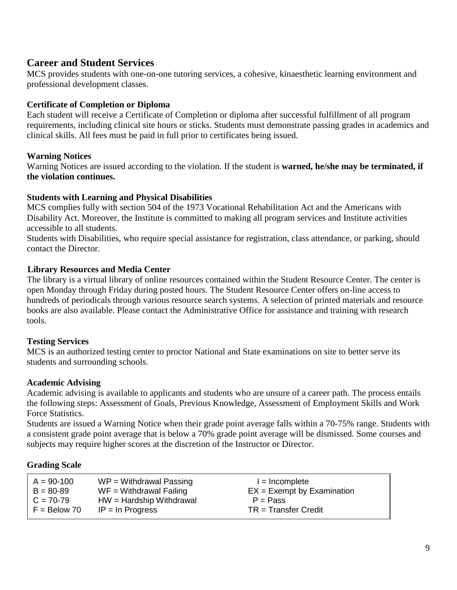### **Career and Student Services**

MCS provides students with one-on-one tutoring services, a cohesive, kinaesthetic learning environment and professional development classes.

#### **Certificate of Completion or Diploma**

Each student will receive a Certificate of Completion or diploma after successful fulfillment of all program requirements, including clinical site hours or sticks. Students must demonstrate passing grades in academics and clinical skills. All fees must be paid in full prior to certificates being issued.

#### **Warning Notices**

Warning Notices are issued according to the violation. If the student is **warned, he/she may be terminated, if the violation continues.**

#### **Students with Learning and Physical Disabilities**

MCS complies fully with section 504 of the 1973 Vocational Rehabilitation Act and the Americans with Disability Act. Moreover, the Institute is committed to making all program services and Institute activities accessible to all students.

Students with Disabilities, who require special assistance for registration, class attendance, or parking, should contact the Director.

#### **Library Resources and Media Center**

The library is a virtual library of online resources contained within the Student Resource Center. The center is open Monday through Friday during posted hours. The Student Resource Center offers on-line access to hundreds of periodicals through various resource search systems. A selection of printed materials and resource books are also available. Please contact the Administrative Office for assistance and training with research tools.

#### **Testing Services**

MCS is an authorized testing center to proctor National and State examinations on site to better serve its students and surrounding schools.

#### **Academic Advising**

Academic advising is available to applicants and students who are unsure of a career path. The process entails the following steps: Assessment of Goals, Previous Knowledge, Assessment of Employment Skills and Work Force Statistics.

Students are issued a Warning Notice when their grade point average falls within a 70-75% range. Students with a consistent grade point average that is below a 70% grade point average will be dismissed. Some courses and subjects may require higher scores at the discretion of the Instructor or Director.

#### **Grading Scale**

| $A = 90-100$   | $WP = Without$ Passing    | $l = Incomplete$             |
|----------------|---------------------------|------------------------------|
| $B = 80-89$    | $WF = Without$ Theorem WF | $EX = Exempt by Examination$ |
| $C = 70-79$    | $HW = Hardship Without$   | $P = Pass$                   |
| $F = Below 70$ | $IP = In Progress$        | $TR = Transfer Credit$       |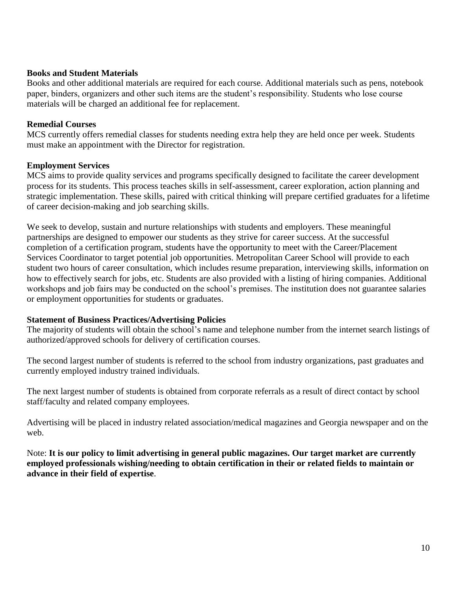#### **Books and Student Materials**

Books and other additional materials are required for each course. Additional materials such as pens, notebook paper, binders, organizers and other such items are the student's responsibility. Students who lose course materials will be charged an additional fee for replacement.

#### **Remedial Courses**

MCS currently offers remedial classes for students needing extra help they are held once per week. Students must make an appointment with the Director for registration.

#### **Employment Services**

MCS aims to provide quality services and programs specifically designed to facilitate the career development process for its students. This process teaches skills in self-assessment, career exploration, action planning and strategic implementation. These skills, paired with critical thinking will prepare certified graduates for a lifetime of career decision-making and job searching skills.

We seek to develop, sustain and nurture relationships with students and employers. These meaningful partnerships are designed to empower our students as they strive for career success. At the successful completion of a certification program, students have the opportunity to meet with the Career/Placement Services Coordinator to target potential job opportunities. Metropolitan Career School will provide to each student two hours of career consultation, which includes resume preparation, interviewing skills, information on how to effectively search for jobs, etc. Students are also provided with a listing of hiring companies. Additional workshops and job fairs may be conducted on the school's premises. The institution does not guarantee salaries or employment opportunities for students or graduates.

#### **Statement of Business Practices/Advertising Policies**

The majority of students will obtain the school's name and telephone number from the internet search listings of authorized/approved schools for delivery of certification courses.

The second largest number of students is referred to the school from industry organizations, past graduates and currently employed industry trained individuals.

The next largest number of students is obtained from corporate referrals as a result of direct contact by school staff/faculty and related company employees.

Advertising will be placed in industry related association/medical magazines and Georgia newspaper and on the web.

Note: **It is our policy to limit advertising in general public magazines. Our target market are currently employed professionals wishing/needing to obtain certification in their or related fields to maintain or advance in their field of expertise**.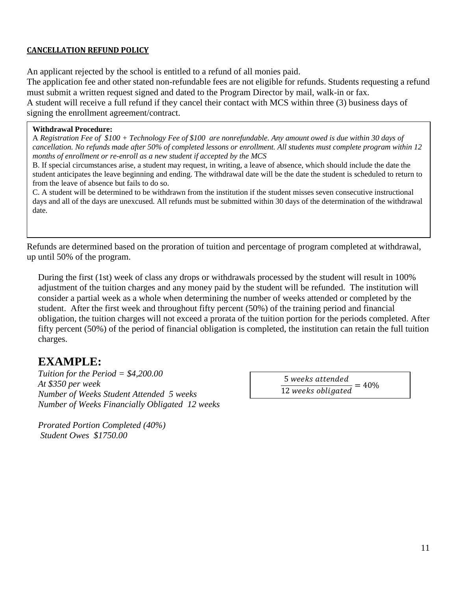#### **CANCELLATION REFUND POLICY**

An applicant rejected by the school is entitled to a refund of all monies paid.

The application fee and other stated non-refundable fees are not eligible for refunds. Students requesting a refund must submit a written request signed and dated to the Program Director by mail, walk-in or fax. A student will receive a full refund if they cancel their contact with MCS within three (3) business days of

signing the enrollment agreement/contract.

#### **Withdrawal Procedure:**

A *Registration Fee of \$100 + Technology Fee of \$100 are nonrefundable. Any amount owed is due within 30 days of cancellation. No refunds made after 50% of completed lessons or enrollment. All students must complete program within 12 months of enrollment or re-enroll as a new student if accepted by the MCS*

B. If special circumstances arise, a student may request, in writing, a leave of absence, which should include the date the student anticipates the leave beginning and ending. The withdrawal date will be the date the student is scheduled to return to from the leave of absence but fails to do so.

C. A student will be determined to be withdrawn from the institution if the student misses seven consecutive instructional days and all of the days are unexcused. All refunds must be submitted within 30 days of the determination of the withdrawal date.

Refunds are determined based on the proration of tuition and percentage of program completed at withdrawal, up until 50% of the program.

During the first (1st) week of class any drops or withdrawals processed by the student will result in 100% adjustment of the tuition charges and any money paid by the student will be refunded. The institution will consider a partial week as a whole when determining the number of weeks attended or completed by the student. After the first week and throughout fifty percent (50%) of the training period and financial obligation, the tuition charges will not exceed a prorata of the tuition portion for the periods completed. After fifty percent (50%) of the period of financial obligation is completed, the institution can retain the full tuition charges.

### **EXAMPLE:**

*Tuition for the Period = \$4,200.00 At \$350 per week Number of Weeks Student Attended 5 weeks Number of Weeks Financially Obligated 12 weeks*

5 weeks attended  $\frac{12}{12}$  weeks obligated = 40%

*Prorated Portion Completed (40%) Student Owes \$1750.00*

11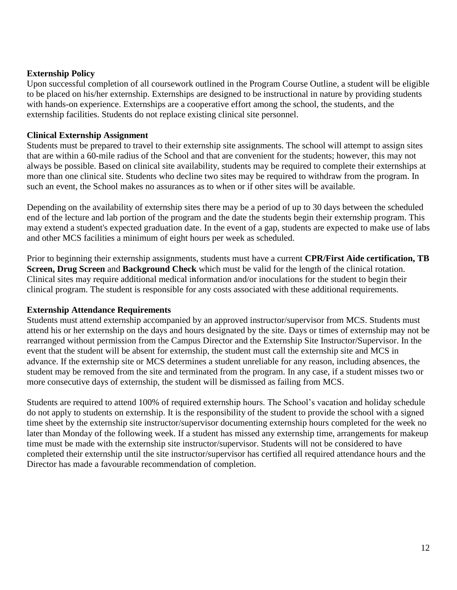#### **Externship Policy**

Upon successful completion of all coursework outlined in the Program Course Outline, a student will be eligible to be placed on his/her externship. Externships are designed to be instructional in nature by providing students with hands-on experience. Externships are a cooperative effort among the school, the students, and the externship facilities. Students do not replace existing clinical site personnel.

#### **Clinical Externship Assignment**

Students must be prepared to travel to their externship site assignments. The school will attempt to assign sites that are within a 60-mile radius of the School and that are convenient for the students; however, this may not always be possible. Based on clinical site availability, students may be required to complete their externships at more than one clinical site. Students who decline two sites may be required to withdraw from the program. In such an event, the School makes no assurances as to when or if other sites will be available.

Depending on the availability of externship sites there may be a period of up to 30 days between the scheduled end of the lecture and lab portion of the program and the date the students begin their externship program. This may extend a student's expected graduation date. In the event of a gap, students are expected to make use of labs and other MCS facilities a minimum of eight hours per week as scheduled.

Prior to beginning their externship assignments, students must have a current **CPR/First Aide certification, TB Screen, Drug Screen** and **Background Check** which must be valid for the length of the clinical rotation. Clinical sites may require additional medical information and/or inoculations for the student to begin their clinical program. The student is responsible for any costs associated with these additional requirements.

#### **Externship Attendance Requirements**

Students must attend externship accompanied by an approved instructor/supervisor from MCS. Students must attend his or her externship on the days and hours designated by the site. Days or times of externship may not be rearranged without permission from the Campus Director and the Externship Site Instructor/Supervisor. In the event that the student will be absent for externship, the student must call the externship site and MCS in advance. If the externship site or MCS determines a student unreliable for any reason, including absences, the student may be removed from the site and terminated from the program. In any case, if a student misses two or more consecutive days of externship, the student will be dismissed as failing from MCS.

Students are required to attend 100% of required externship hours. The School's vacation and holiday schedule do not apply to students on externship. It is the responsibility of the student to provide the school with a signed time sheet by the externship site instructor/supervisor documenting externship hours completed for the week no later than Monday of the following week. If a student has missed any externship time, arrangements for makeup time must be made with the externship site instructor/supervisor. Students will not be considered to have completed their externship until the site instructor/supervisor has certified all required attendance hours and the Director has made a favourable recommendation of completion.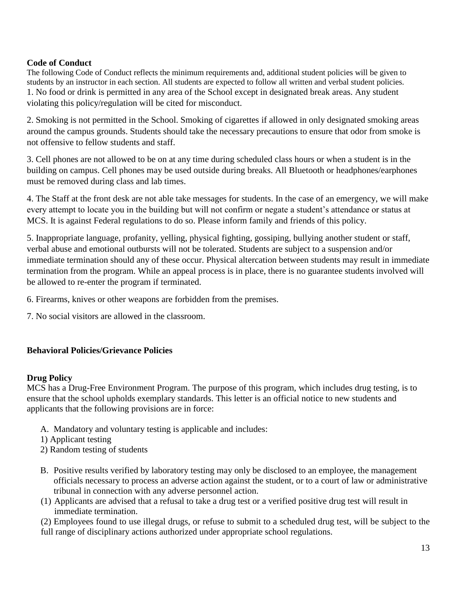#### **Code of Conduct**

The following Code of Conduct reflects the minimum requirements and, additional student policies will be given to students by an instructor in each section. All students are expected to follow all written and verbal student policies. 1. No food or drink is permitted in any area of the School except in designated break areas. Any student violating this policy/regulation will be cited for misconduct.

2. Smoking is not permitted in the School. Smoking of cigarettes if allowed in only designated smoking areas around the campus grounds. Students should take the necessary precautions to ensure that odor from smoke is not offensive to fellow students and staff.

3. Cell phones are not allowed to be on at any time during scheduled class hours or when a student is in the building on campus. Cell phones may be used outside during breaks. All Bluetooth or headphones/earphones must be removed during class and lab times.

4. The Staff at the front desk are not able take messages for students. In the case of an emergency, we will make every attempt to locate you in the building but will not confirm or negate a student's attendance or status at MCS. It is against Federal regulations to do so. Please inform family and friends of this policy.

5. Inappropriate language, profanity, yelling, physical fighting, gossiping, bullying another student or staff, verbal abuse and emotional outbursts will not be tolerated. Students are subject to a suspension and/or immediate termination should any of these occur. Physical altercation between students may result in immediate termination from the program. While an appeal process is in place, there is no guarantee students involved will be allowed to re-enter the program if terminated.

6. Firearms, knives or other weapons are forbidden from the premises.

7. No social visitors are allowed in the classroom.

#### **Behavioral Policies/Grievance Policies**

#### **Drug Policy**

MCS has a Drug-Free Environment Program. The purpose of this program, which includes drug testing, is to ensure that the school upholds exemplary standards. This letter is an official notice to new students and applicants that the following provisions are in force:

- A. Mandatory and voluntary testing is applicable and includes:
- 1) Applicant testing
- 2) Random testing of students
- B. Positive results verified by laboratory testing may only be disclosed to an employee, the management officials necessary to process an adverse action against the student, or to a court of law or administrative tribunal in connection with any adverse personnel action.
- (1) Applicants are advised that a refusal to take a drug test or a verified positive drug test will result in immediate termination.

(2) Employees found to use illegal drugs, or refuse to submit to a scheduled drug test, will be subject to the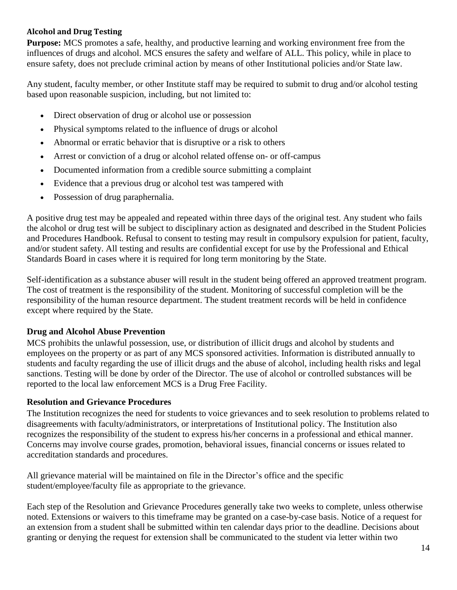#### **Alcohol and Drug Testing**

**Purpose:** MCS promotes a safe, healthy, and productive learning and working environment free from the influences of drugs and alcohol. MCS ensures the safety and welfare of ALL. This policy, while in place to ensure safety, does not preclude criminal action by means of other Institutional policies and/or State law.

Any student, faculty member, or other Institute staff may be required to submit to drug and/or alcohol testing based upon reasonable suspicion, including, but not limited to:

- Direct observation of drug or alcohol use or possession
- Physical symptoms related to the influence of drugs or alcohol
- Abnormal or erratic behavior that is disruptive or a risk to others
- Arrest or conviction of a drug or alcohol related offense on- or off-campus
- Documented information from a credible source submitting a complaint
- Evidence that a previous drug or alcohol test was tampered with
- Possession of drug paraphernalia.

A positive drug test may be appealed and repeated within three days of the original test. Any student who fails the alcohol or drug test will be subject to disciplinary action as designated and described in the Student Policies and Procedures Handbook. Refusal to consent to testing may result in compulsory expulsion for patient, faculty, and/or student safety. All testing and results are confidential except for use by the Professional and Ethical Standards Board in cases where it is required for long term monitoring by the State.

Self-identification as a substance abuser will result in the student being offered an approved treatment program. The cost of treatment is the responsibility of the student. Monitoring of successful completion will be the responsibility of the human resource department. The student treatment records will be held in confidence except where required by the State.

#### **Drug and Alcohol Abuse Prevention**

MCS prohibits the unlawful possession, use, or distribution of illicit drugs and alcohol by students and employees on the property or as part of any MCS sponsored activities. Information is distributed annually to students and faculty regarding the use of illicit drugs and the abuse of alcohol, including health risks and legal sanctions. Testing will be done by order of the Director. The use of alcohol or controlled substances will be reported to the local law enforcement MCS is a Drug Free Facility.

#### **Resolution and Grievance Procedures**

The Institution recognizes the need for students to voice grievances and to seek resolution to problems related to disagreements with faculty/administrators, or interpretations of Institutional policy. The Institution also recognizes the responsibility of the student to express his/her concerns in a professional and ethical manner. Concerns may involve course grades, promotion, behavioral issues, financial concerns or issues related to accreditation standards and procedures.

All grievance material will be maintained on file in the Director's office and the specific student/employee/faculty file as appropriate to the grievance.

Each step of the Resolution and Grievance Procedures generally take two weeks to complete, unless otherwise noted. Extensions or waivers to this timeframe may be granted on a case-by-case basis. Notice of a request for an extension from a student shall be submitted within ten calendar days prior to the deadline. Decisions about granting or denying the request for extension shall be communicated to the student via letter within two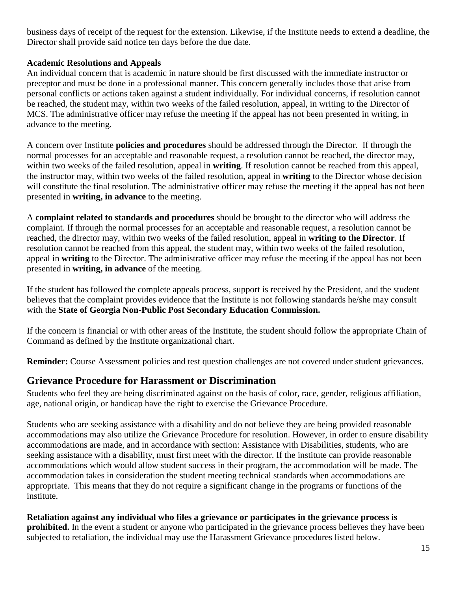business days of receipt of the request for the extension. Likewise, if the Institute needs to extend a deadline, the Director shall provide said notice ten days before the due date.

#### **Academic Resolutions and Appeals**

An individual concern that is academic in nature should be first discussed with the immediate instructor or preceptor and must be done in a professional manner. This concern generally includes those that arise from personal conflicts or actions taken against a student individually. For individual concerns, if resolution cannot be reached, the student may, within two weeks of the failed resolution, appeal, in writing to the Director of MCS. The administrative officer may refuse the meeting if the appeal has not been presented in writing, in advance to the meeting.

A concern over Institute **policies and procedures** should be addressed through the Director. If through the normal processes for an acceptable and reasonable request, a resolution cannot be reached, the director may, within two weeks of the failed resolution, appeal in **writing**. If resolution cannot be reached from this appeal, the instructor may, within two weeks of the failed resolution, appeal in **writing** to the Director whose decision will constitute the final resolution. The administrative officer may refuse the meeting if the appeal has not been presented in **writing, in advance** to the meeting.

A **complaint related to standards and procedures** should be brought to the director who will address the complaint. If through the normal processes for an acceptable and reasonable request, a resolution cannot be reached, the director may, within two weeks of the failed resolution, appeal in **writing to the Director**. If resolution cannot be reached from this appeal, the student may, within two weeks of the failed resolution, appeal in **writing** to the Director. The administrative officer may refuse the meeting if the appeal has not been presented in **writing, in advance** of the meeting.

If the student has followed the complete appeals process, support is received by the President, and the student believes that the complaint provides evidence that the Institute is not following standards he/she may consult with the **State of Georgia Non-Public Post Secondary Education Commission.** 

If the concern is financial or with other areas of the Institute, the student should follow the appropriate Chain of Command as defined by the Institute organizational chart.

**Reminder:** Course Assessment policies and test question challenges are not covered under student grievances.

### **Grievance Procedure for Harassment or Discrimination**

Students who feel they are being discriminated against on the basis of color, race, gender, religious affiliation, age, national origin, or handicap have the right to exercise the Grievance Procedure.

Students who are seeking assistance with a disability and do not believe they are being provided reasonable accommodations may also utilize the Grievance Procedure for resolution. However, in order to ensure disability accommodations are made, and in accordance with section: Assistance with Disabilities, students, who are seeking assistance with a disability, must first meet with the director. If the institute can provide reasonable accommodations which would allow student success in their program, the accommodation will be made. The accommodation takes in consideration the student meeting technical standards when accommodations are appropriate. This means that they do not require a significant change in the programs or functions of the institute.

**Retaliation against any individual who files a grievance or participates in the grievance process is prohibited.** In the event a student or anyone who participated in the grievance process believes they have been subjected to retaliation, the individual may use the Harassment Grievance procedures listed below.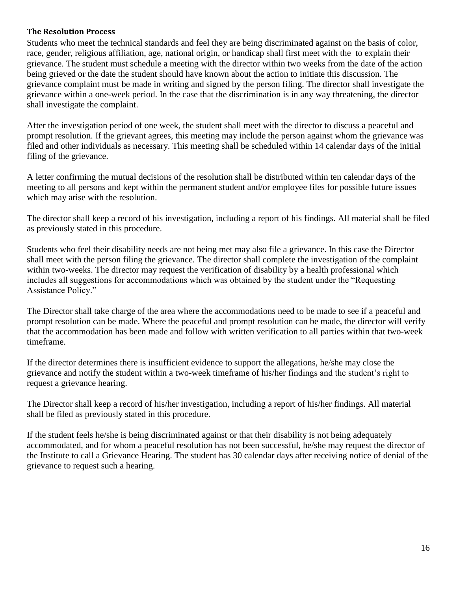#### **The Resolution Process**

Students who meet the technical standards and feel they are being discriminated against on the basis of color, race, gender, religious affiliation, age, national origin, or handicap shall first meet with the to explain their grievance. The student must schedule a meeting with the director within two weeks from the date of the action being grieved or the date the student should have known about the action to initiate this discussion. The grievance complaint must be made in writing and signed by the person filing. The director shall investigate the grievance within a one-week period. In the case that the discrimination is in any way threatening, the director shall investigate the complaint.

After the investigation period of one week, the student shall meet with the director to discuss a peaceful and prompt resolution. If the grievant agrees, this meeting may include the person against whom the grievance was filed and other individuals as necessary. This meeting shall be scheduled within 14 calendar days of the initial filing of the grievance.

A letter confirming the mutual decisions of the resolution shall be distributed within ten calendar days of the meeting to all persons and kept within the permanent student and/or employee files for possible future issues which may arise with the resolution.

The director shall keep a record of his investigation, including a report of his findings. All material shall be filed as previously stated in this procedure.

Students who feel their disability needs are not being met may also file a grievance. In this case the Director shall meet with the person filing the grievance. The director shall complete the investigation of the complaint within two-weeks. The director may request the verification of disability by a health professional which includes all suggestions for accommodations which was obtained by the student under the "Requesting Assistance Policy."

The Director shall take charge of the area where the accommodations need to be made to see if a peaceful and prompt resolution can be made. Where the peaceful and prompt resolution can be made, the director will verify that the accommodation has been made and follow with written verification to all parties within that two-week timeframe.

If the director determines there is insufficient evidence to support the allegations, he/she may close the grievance and notify the student within a two-week timeframe of his/her findings and the student's right to request a grievance hearing.

The Director shall keep a record of his/her investigation, including a report of his/her findings. All material shall be filed as previously stated in this procedure.

If the student feels he/she is being discriminated against or that their disability is not being adequately accommodated, and for whom a peaceful resolution has not been successful, he/she may request the director of the Institute to call a Grievance Hearing. The student has 30 calendar days after receiving notice of denial of the grievance to request such a hearing.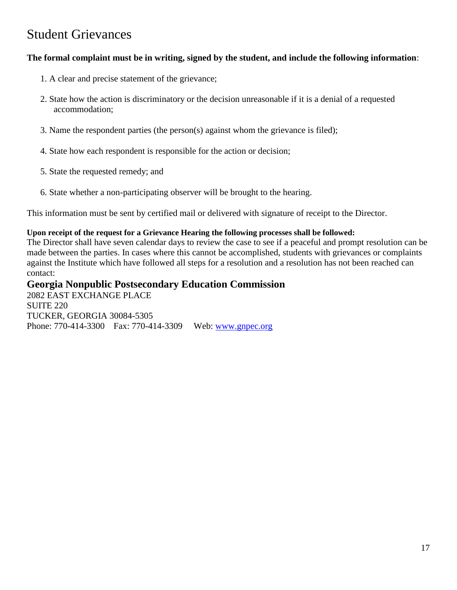## Student Grievances

#### **The formal complaint must be in writing, signed by the student, and include the following information**:

- 1. A clear and precise statement of the grievance;
- 2. State how the action is discriminatory or the decision unreasonable if it is a denial of a requested accommodation;
- 3. Name the respondent parties (the person(s) against whom the grievance is filed);
- 4. State how each respondent is responsible for the action or decision;
- 5. State the requested remedy; and
- 6. State whether a non-participating observer will be brought to the hearing.

This information must be sent by certified mail or delivered with signature of receipt to the Director.

#### **Upon receipt of the request for a Grievance Hearing the following processes shall be followed:**

The Director shall have seven calendar days to review the case to see if a peaceful and prompt resolution can be made between the parties. In cases where this cannot be accomplished, students with grievances or complaints against the Institute which have followed all steps for a resolution and a resolution has not been reached can contact:

**Georgia Nonpublic Postsecondary Education Commission** 2082 EAST EXCHANGE PLACE SUITE 220 TUCKER, GEORGIA 30084-5305 Phone: 770-414-3300 Fax: 770-414-3309 Web: [www.gnpec.org](http://www.gnpec.org/)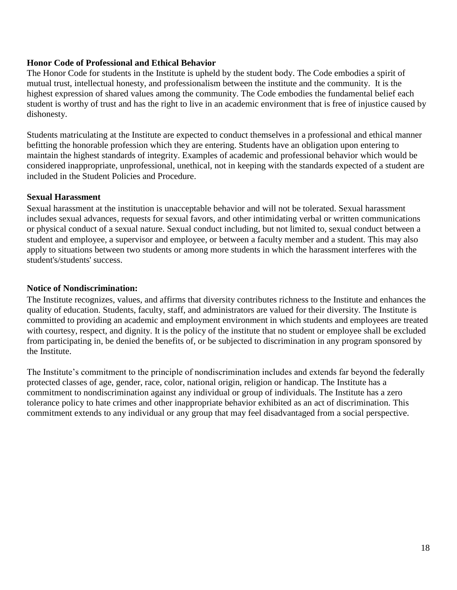#### **Honor Code of Professional and Ethical Behavior**

The Honor Code for students in the Institute is upheld by the student body. The Code embodies a spirit of mutual trust, intellectual honesty, and professionalism between the institute and the community. It is the highest expression of shared values among the community. The Code embodies the fundamental belief each student is worthy of trust and has the right to live in an academic environment that is free of injustice caused by dishonesty.

Students matriculating at the Institute are expected to conduct themselves in a professional and ethical manner befitting the honorable profession which they are entering. Students have an obligation upon entering to maintain the highest standards of integrity. Examples of academic and professional behavior which would be considered inappropriate, unprofessional, unethical, not in keeping with the standards expected of a student are included in the Student Policies and Procedure.

#### **Sexual Harassment**

Sexual harassment at the institution is unacceptable behavior and will not be tolerated. Sexual harassment includes sexual advances, requests for sexual favors, and other intimidating verbal or written communications or physical conduct of a sexual nature. Sexual conduct including, but not limited to, sexual conduct between a student and employee, a supervisor and employee, or between a faculty member and a student. This may also apply to situations between two students or among more students in which the harassment interferes with the student's/students' success.

#### **Notice of Nondiscrimination:**

The Institute recognizes, values, and affirms that diversity contributes richness to the Institute and enhances the quality of education. Students, faculty, staff, and administrators are valued for their diversity. The Institute is committed to providing an academic and employment environment in which students and employees are treated with courtesy, respect, and dignity. It is the policy of the institute that no student or employee shall be excluded from participating in, be denied the benefits of, or be subjected to discrimination in any program sponsored by the Institute.

The Institute's commitment to the principle of nondiscrimination includes and extends far beyond the federally protected classes of age, gender, race, color, national origin, religion or handicap. The Institute has a commitment to nondiscrimination against any individual or group of individuals. The Institute has a zero tolerance policy to hate crimes and other inappropriate behavior exhibited as an act of discrimination. This commitment extends to any individual or any group that may feel disadvantaged from a social perspective.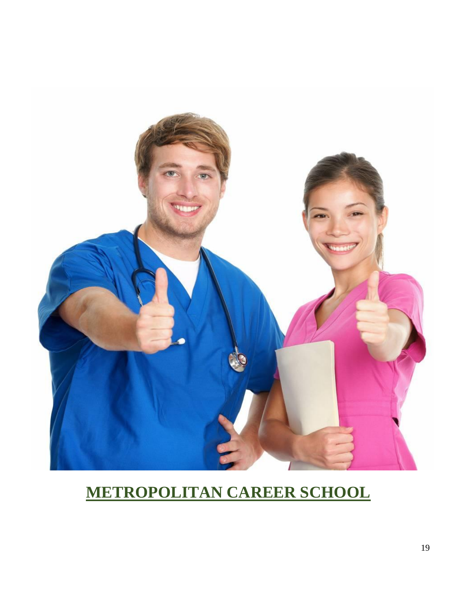

# **METROPOLITAN CAREER SCHOOL**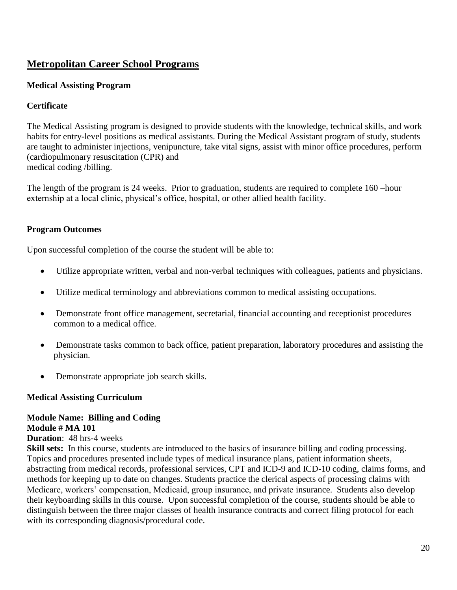### **Metropolitan Career School Programs**

#### **Medical Assisting Program**

#### **Certificate**

The Medical Assisting program is designed to provide students with the knowledge, technical skills, and work habits for entry-level positions as medical assistants. During the Medical Assistant program of study, students are taught to administer injections, venipuncture, take vital signs, assist with minor office procedures, perform (cardiopulmonary resuscitation (CPR) and medical coding /billing.

The length of the program is 24 weeks. Prior to graduation, students are required to complete 160 –hour externship at a local clinic, physical's office, hospital, or other allied health facility.

#### **Program Outcomes**

Upon successful completion of the course the student will be able to:

- Utilize appropriate written, verbal and non-verbal techniques with colleagues, patients and physicians.
- Utilize medical terminology and abbreviations common to medical assisting occupations.
- Demonstrate front office management, secretarial, financial accounting and receptionist procedures common to a medical office.
- Demonstrate tasks common to back office, patient preparation, laboratory procedures and assisting the physician.
- Demonstrate appropriate job search skills.

#### **Medical Assisting Curriculum**

#### **Module Name: Billing and Coding Module # MA 101**

**Duration**: 48 hrs-4 weeks

**Skill sets:** In this course, students are introduced to the basics of insurance billing and coding processing. Topics and procedures presented include types of medical insurance plans, patient information sheets, abstracting from medical records, professional services, CPT and ICD-9 and ICD-10 coding, claims forms, and methods for keeping up to date on changes. Students practice the clerical aspects of processing claims with Medicare, workers' compensation, Medicaid, group insurance, and private insurance. Students also develop their keyboarding skills in this course. Upon successful completion of the course, students should be able to distinguish between the three major classes of health insurance contracts and correct filing protocol for each with its corresponding diagnosis/procedural code.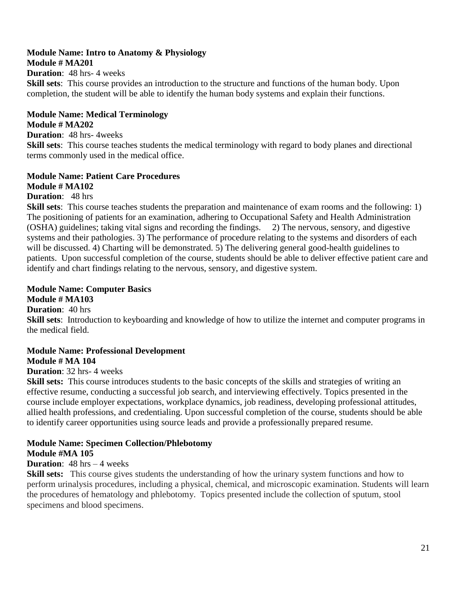#### **Module Name: Intro to Anatomy & Physiology Module # MA201**

#### **Duration**: 48 hrs- 4 weeks

**Skill sets**: This course provides an introduction to the structure and functions of the human body. Upon completion, the student will be able to identify the human body systems and explain their functions.

#### **Module Name: Medical Terminology**

#### **Module # MA202**

**Duration**: 48 hrs- 4weeks

**Skill sets**: This course teaches students the medical terminology with regard to body planes and directional terms commonly used in the medical office.

#### **Module Name: Patient Care Procedures**

#### **Module # MA102**

**Duration**: 48 hrs

**Skill sets**: This course teaches students the preparation and maintenance of exam rooms and the following: 1) The positioning of patients for an examination, adhering to Occupational Safety and Health Administration (OSHA) guidelines; taking vital signs and recording the findings. 2) The nervous, sensory, and digestive systems and their pathologies. 3) The performance of procedure relating to the systems and disorders of each will be discussed. 4) Charting will be demonstrated. 5) The delivering general good-health guidelines to patients. Upon successful completion of the course, students should be able to deliver effective patient care and identify and chart findings relating to the nervous, sensory, and digestive system.

#### **Module Name: Computer Basics Module # MA103**

**Duration**: 40 hrs

**Skill sets**: Introduction to keyboarding and knowledge of how to utilize the internet and computer programs in the medical field.

#### **Module Name: Professional Development Module # MA 104**

#### **Duration**: 32 hrs- 4 weeks

**Skill sets:** This course introduces students to the basic concepts of the skills and strategies of writing an effective resume, conducting a successful job search, and interviewing effectively. Topics presented in the course include employer expectations, workplace dynamics, job readiness, developing professional attitudes, allied health professions, and credentialing. Upon successful completion of the course, students should be able to identify career opportunities using source leads and provide a professionally prepared resume.

#### **Module Name: Specimen Collection/Phlebotomy Module #MA 105**

#### **Duration**: 48 hrs – 4 weeks

**Skill sets:** This course gives students the understanding of how the urinary system functions and how to perform urinalysis procedures, including a physical, chemical, and microscopic examination. Students will learn the procedures of hematology and phlebotomy. Topics presented include the collection of sputum, stool specimens and blood specimens.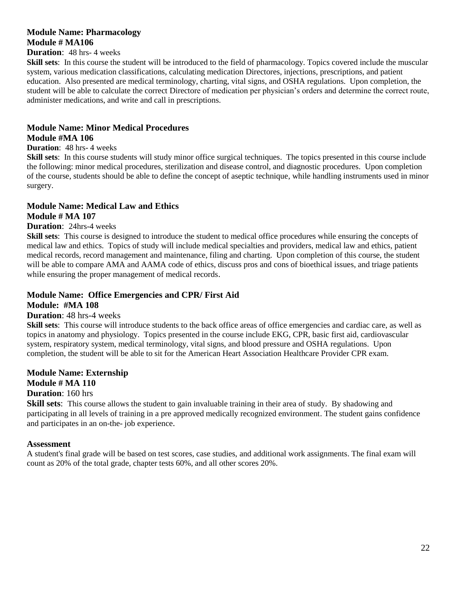#### **Module Name: Pharmacology Module # MA106**

#### **Duration**: 48 hrs- 4 weeks

**Skill sets**: In this course the student will be introduced to the field of pharmacology. Topics covered include the muscular system, various medication classifications, calculating medication Directores, injections, prescriptions, and patient education. Also presented are medical terminology, charting, vital signs, and OSHA regulations. Upon completion, the student will be able to calculate the correct Directore of medication per physician's orders and determine the correct route, administer medications, and write and call in prescriptions.

### **Module Name: Minor Medical Procedures**

#### **Module #MA 106**

#### **Duration**: 48 hrs- 4 weeks

**Skill sets**: In this course students will study minor office surgical techniques. The topics presented in this course include the following: minor medical procedures, sterilization and disease control, and diagnostic procedures. Upon completion of the course, students should be able to define the concept of aseptic technique, while handling instruments used in minor surgery.

#### **Module Name: Medical Law and Ethics Module # MA 107**

#### **Duration**: 24hrs-4 weeks

**Skill sets**: This course is designed to introduce the student to medical office procedures while ensuring the concepts of medical law and ethics. Topics of study will include medical specialties and providers, medical law and ethics, patient medical records, record management and maintenance, filing and charting. Upon completion of this course, the student will be able to compare AMA and AAMA code of ethics, discuss pros and cons of bioethical issues, and triage patients while ensuring the proper management of medical records.

#### **Module Name: Office Emergencies and CPR/ First Aid Module: #MA 108**

#### **Duration**: 48 hrs-4 weeks

**Skill sets**: This course will introduce students to the back office areas of office emergencies and cardiac care, as well as topics in anatomy and physiology. Topics presented in the course include EKG, CPR, basic first aid, cardiovascular system, respiratory system, medical terminology, vital signs, and blood pressure and OSHA regulations. Upon completion, the student will be able to sit for the American Heart Association Healthcare Provider CPR exam.

#### **Module Name: Externship Module # MA 110**

### **Duration**: 160 hrs

**Skill sets**: This course allows the student to gain invaluable training in their area of study. By shadowing and participating in all levels of training in a pre approved medically recognized environment. The student gains confidence and participates in an on-the- job experience.

#### **Assessment**

A student's final grade will be based on test scores, case studies, and additional work assignments. The final exam will count as 20% of the total grade, chapter tests 60%, and all other scores 20%.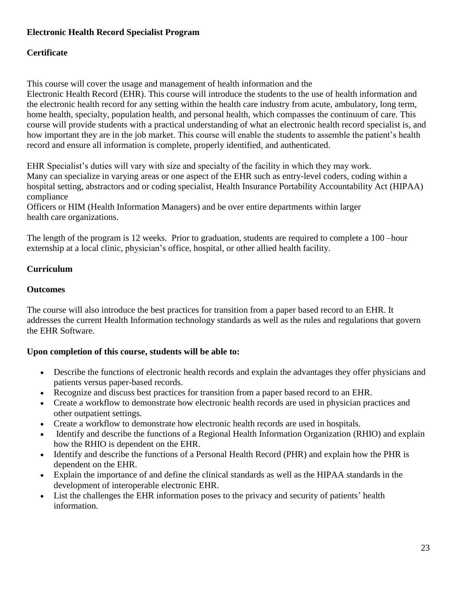#### **Electronic Health Record Specialist Program**

#### **Certificate**

This course will cover the usage and management of health information and the Electronic Health Record (EHR). This course will introduce the students to the use of health information and the electronic health record for any setting within the health care industry from acute, ambulatory, long term, home health, specialty, population health, and personal health, which compasses the continuum of care. This course will provide students with a practical understanding of what an electronic health record specialist is, and how important they are in the job market. This course will enable the students to assemble the patient's health record and ensure all information is complete, properly identified, and authenticated.

EHR Specialist's duties will vary with size and specialty of the facility in which they may work. Many can specialize in varying areas or one aspect of the EHR such as entry-level coders, coding within a hospital setting, abstractors and or coding specialist, Health Insurance Portability Accountability Act (HIPAA) compliance

Officers or HIM (Health Information Managers) and be over entire departments within larger health care organizations.

The length of the program is 12 weeks. Prior to graduation, students are required to complete a 100 –hour externship at a local clinic, physician's office, hospital, or other allied health facility.

### **Curriculum**

### **Outcomes**

The course will also introduce the best practices for transition from a paper based record to an EHR. It addresses the current Health Information technology standards as well as the rules and regulations that govern the EHR Software.

#### **Upon completion of this course, students will be able to:**

- Describe the functions of electronic health records and explain the advantages they offer physicians and patients versus paper-based records.
- Recognize and discuss best practices for transition from a paper based record to an EHR.
- Create a workflow to demonstrate how electronic health records are used in physician practices and other outpatient settings.
- Create a workflow to demonstrate how electronic health records are used in hospitals.
- Identify and describe the functions of a Regional Health Information Organization (RHIO) and explain how the RHIO is dependent on the EHR.
- Identify and describe the functions of a Personal Health Record (PHR) and explain how the PHR is dependent on the EHR.
- Explain the importance of and define the clinical standards as well as the HIPAA standards in the development of interoperable electronic EHR.
- List the challenges the EHR information poses to the privacy and security of patients' health information.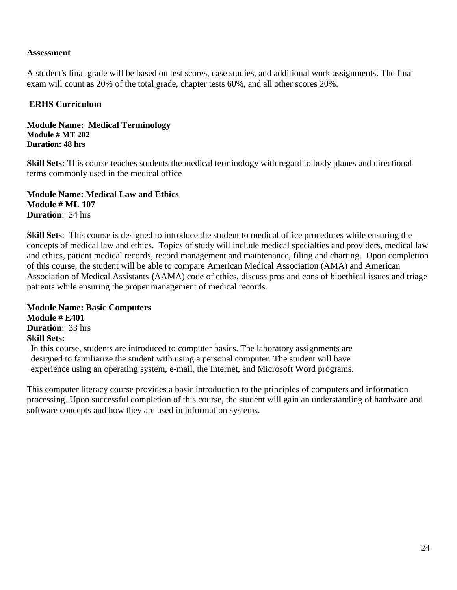#### **Assessment**

A student's final grade will be based on test scores, case studies, and additional work assignments. The final exam will count as 20% of the total grade, chapter tests 60%, and all other scores 20%.

#### **ERHS Curriculum**

#### **Module Name: Medical Terminology Module # MT 202 Duration: 48 hrs**

**Skill Sets:** This course teaches students the medical terminology with regard to body planes and directional terms commonly used in the medical office

**Module Name: Medical Law and Ethics Module # ML 107 Duration**: 24 hrs

**Skill Sets**: This course is designed to introduce the student to medical office procedures while ensuring the concepts of medical law and ethics. Topics of study will include medical specialties and providers, medical law and ethics, patient medical records, record management and maintenance, filing and charting. Upon completion of this course, the student will be able to compare American Medical Association (AMA) and American Association of Medical Assistants (AAMA) code of ethics, discuss pros and cons of bioethical issues and triage patients while ensuring the proper management of medical records.

**Module Name: Basic Computers Module # E401 Duration**: 33 hrs **Skill Sets:** In this course, students are introduced to computer basics. The laboratory assignments are designed to familiarize the student with using a personal computer. The student will have experience using an operating system, e-mail, the Internet, and Microsoft Word programs.

This computer literacy course provides a basic introduction to the principles of computers and information processing. Upon successful completion of this course, the student will gain an understanding of hardware and software concepts and how they are used in information systems.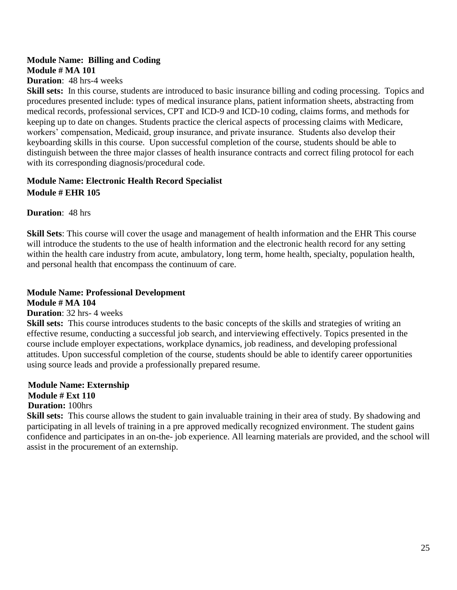### **Module Name: Billing and Coding Module # MA 101**

#### **Duration**: 48 hrs-4 weeks

**Skill sets:** In this course, students are introduced to basic insurance billing and coding processing. Topics and procedures presented include: types of medical insurance plans, patient information sheets, abstracting from medical records, professional services, CPT and ICD-9 and ICD-10 coding, claims forms, and methods for keeping up to date on changes. Students practice the clerical aspects of processing claims with Medicare, workers' compensation, Medicaid, group insurance, and private insurance. Students also develop their keyboarding skills in this course. Upon successful completion of the course, students should be able to distinguish between the three major classes of health insurance contracts and correct filing protocol for each with its corresponding diagnosis/procedural code.

#### **Module Name: Electronic Health Record Specialist Module # EHR 105**

#### **Duration**: 48 hrs

**Skill Sets**: This course will cover the usage and management of health information and the EHR This course will introduce the students to the use of health information and the electronic health record for any setting within the health care industry from acute, ambulatory, long term, home health, specialty, population health, and personal health that encompass the continuum of care.

### **Module Name: Professional Development**

**Module # MA 104**

#### **Duration**: 32 hrs- 4 weeks

**Skill sets:** This course introduces students to the basic concepts of the skills and strategies of writing an effective resume, conducting a successful job search, and interviewing effectively. Topics presented in the course include employer expectations, workplace dynamics, job readiness, and developing professional attitudes. Upon successful completion of the course, students should be able to identify career opportunities using source leads and provide a professionally prepared resume.

#### **Module Name: Externship Module # Ext 110 Duration:** 100hrs

**Skill sets:** This course allows the student to gain invaluable training in their area of study. By shadowing and participating in all levels of training in a pre approved medically recognized environment. The student gains confidence and participates in an on-the- job experience. All learning materials are provided, and the school will assist in the procurement of an externship.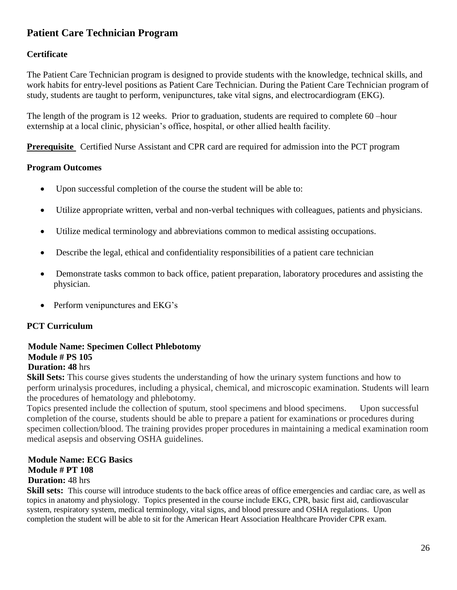### **Patient Care Technician Program**

#### **Certificate**

The Patient Care Technician program is designed to provide students with the knowledge, technical skills, and work habits for entry-level positions as Patient Care Technician. During the Patient Care Technician program of study, students are taught to perform, venipunctures, take vital signs, and electrocardiogram (EKG).

The length of the program is 12 weeks. Prior to graduation, students are required to complete 60 –hour externship at a local clinic, physician's office, hospital, or other allied health facility.

**Prerequisite** Certified Nurse Assistant and CPR card are required for admission into the PCT program

#### **Program Outcomes**

- Upon successful completion of the course the student will be able to:
- Utilize appropriate written, verbal and non-verbal techniques with colleagues, patients and physicians.
- Utilize medical terminology and abbreviations common to medical assisting occupations.
- Describe the legal, ethical and confidentiality responsibilities of a patient care technician
- Demonstrate tasks common to back office, patient preparation, laboratory procedures and assisting the physician.
- Perform venipunctures and EKG's

#### **PCT Curriculum**

### **Module Name: Specimen Collect Phlebotomy Module # PS 105**

**Duration: 48** hrs

**Skill Sets:** This course gives students the understanding of how the urinary system functions and how to perform urinalysis procedures, including a physical, chemical, and microscopic examination. Students will learn the procedures of hematology and phlebotomy.

Topics presented include the collection of sputum, stool specimens and blood specimens. Upon successful completion of the course, students should be able to prepare a patient for examinations or procedures during specimen collection/blood. The training provides proper procedures in maintaining a medical examination room medical asepsis and observing OSHA guidelines.

#### **Module Name: ECG Basics Module # PT 108 Duration:** 48 hrs

**Skill sets:** This course will introduce students to the back office areas of office emergencies and cardiac care, as well as topics in anatomy and physiology. Topics presented in the course include EKG, CPR, basic first aid, cardiovascular system, respiratory system, medical terminology, vital signs, and blood pressure and OSHA regulations. Upon completion the student will be able to sit for the American Heart Association Healthcare Provider CPR exam.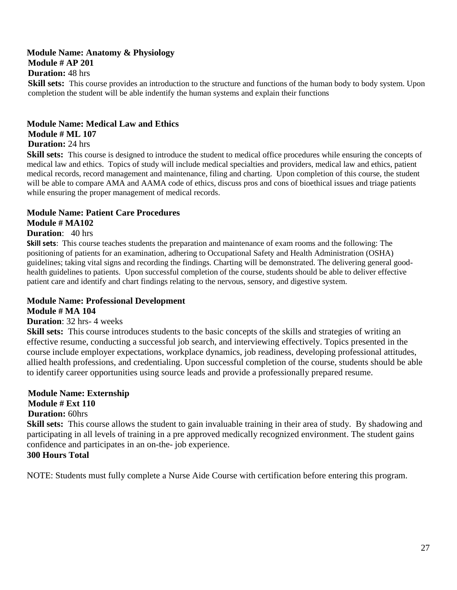#### **Module Name: Anatomy & Physiology Module # AP 201 Duration:** 48 hrs

**Skill sets:** This course provides an introduction to the structure and functions of the human body to body system. Upon completion the student will be able indentify the human systems and explain their functions

#### **Module Name: Medical Law and Ethics Module # ML 107**

**Duration:** 24 hrs

**Skill sets:** This course is designed to introduce the student to medical office procedures while ensuring the concepts of medical law and ethics. Topics of study will include medical specialties and providers, medical law and ethics, patient medical records, record management and maintenance, filing and charting. Upon completion of this course, the student will be able to compare AMA and AAMA code of ethics, discuss pros and cons of bioethical issues and triage patients while ensuring the proper management of medical records.

### **Module Name: Patient Care Procedures**

**Module # MA102**

#### **Duration**: 40 hrs

**Skill sets**: This course teaches students the preparation and maintenance of exam rooms and the following: The positioning of patients for an examination, adhering to Occupational Safety and Health Administration (OSHA) guidelines; taking vital signs and recording the findings. Charting will be demonstrated. The delivering general goodhealth guidelines to patients. Upon successful completion of the course, students should be able to deliver effective patient care and identify and chart findings relating to the nervous, sensory, and digestive system.

#### **Module Name: Professional Development Module # MA 104**

#### **Duration**: 32 hrs- 4 weeks

**Skill sets:** This course introduces students to the basic concepts of the skills and strategies of writing an effective resume, conducting a successful job search, and interviewing effectively. Topics presented in the course include employer expectations, workplace dynamics, job readiness, developing professional attitudes, allied health professions, and credentialing. Upon successful completion of the course, students should be able to identify career opportunities using source leads and provide a professionally prepared resume.

### **Module Name: Externship Module # Ext 110**

#### **Duration:** 60hrs

**Skill sets:** This course allows the student to gain invaluable training in their area of study. By shadowing and participating in all levels of training in a pre approved medically recognized environment. The student gains confidence and participates in an on-the- job experience.

#### **300 Hours Total**

NOTE: Students must fully complete a Nurse Aide Course with certification before entering this program.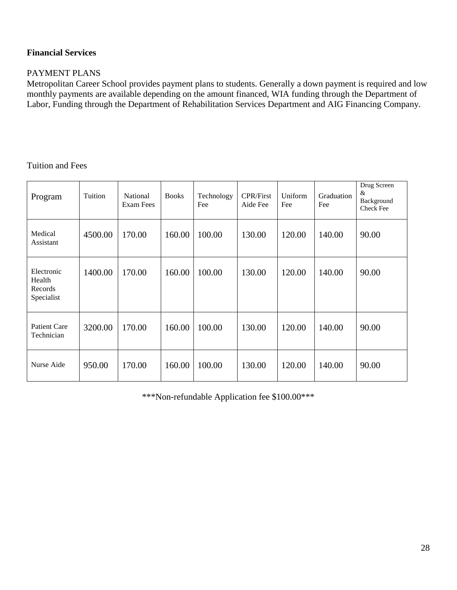### **Financial Services**

#### PAYMENT PLANS

Metropolitan Career School provides payment plans to students. Generally a down payment is required and low monthly payments are available depending on the amount financed, WIA funding through the Department of Labor, Funding through the Department of Rehabilitation Services Department and AIG Financing Company.

#### Tuition and Fees

| Program                                       | Tuition | National<br>Exam Fees | <b>Books</b> | Technology<br>Fee | <b>CPR/First</b><br>Aide Fee | Uniform<br>Fee | Graduation<br>Fee | Drug Screen<br>&<br>Background<br><b>Check Fee</b> |
|-----------------------------------------------|---------|-----------------------|--------------|-------------------|------------------------------|----------------|-------------------|----------------------------------------------------|
| Medical<br>Assistant                          | 4500.00 | 170.00                | 160.00       | 100.00            | 130.00                       | 120.00         | 140.00            | 90.00                                              |
| Electronic<br>Health<br>Records<br>Specialist | 1400.00 | 170.00                | 160.00       | 100.00            | 130.00                       | 120.00         | 140.00            | 90.00                                              |
| <b>Patient Care</b><br>Technician             | 3200.00 | 170.00                | 160.00       | 100.00            | 130.00                       | 120.00         | 140.00            | 90.00                                              |
| Nurse Aide                                    | 950.00  | 170.00                | 160.00       | 100.00            | 130.00                       | 120.00         | 140.00            | 90.00                                              |

\*\*\*Non-refundable Application fee \$100.00\*\*\*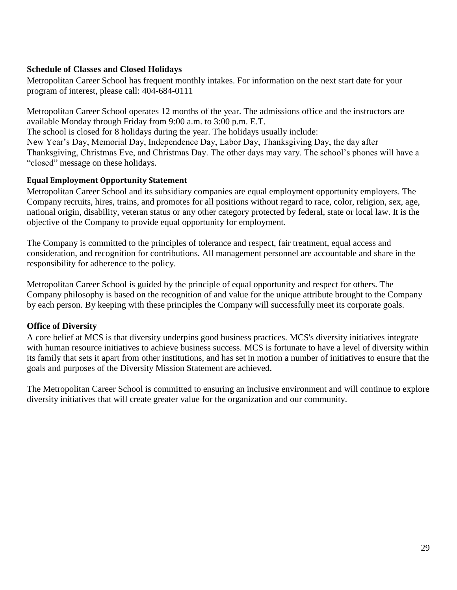#### **Schedule of Classes and Closed Holidays**

Metropolitan Career School has frequent monthly intakes. For information on the next start date for your program of interest, please call: 404-684-0111

Metropolitan Career School operates 12 months of the year. The admissions office and the instructors are available Monday through Friday from 9:00 a.m. to 3:00 p.m. E.T.

The school is closed for 8 holidays during the year. The holidays usually include:

New Year's Day, Memorial Day, Independence Day, Labor Day, Thanksgiving Day, the day after Thanksgiving, Christmas Eve, and Christmas Day. The other days may vary. The school's phones will have a "closed" message on these holidays.

#### **Equal Employment Opportunity Statement**

Metropolitan Career School and its subsidiary companies are equal employment opportunity employers. The Company recruits, hires, trains, and promotes for all positions without regard to race, color, religion, sex, age, national origin, disability, veteran status or any other category protected by federal, state or local law. It is the objective of the Company to provide equal opportunity for employment.

The Company is committed to the principles of tolerance and respect, fair treatment, equal access and consideration, and recognition for contributions. All management personnel are accountable and share in the responsibility for adherence to the policy.

Metropolitan Career School is guided by the principle of equal opportunity and respect for others. The Company philosophy is based on the recognition of and value for the unique attribute brought to the Company by each person. By keeping with these principles the Company will successfully meet its corporate goals.

#### **Office of Diversity**

A core belief at MCS is that diversity underpins good business practices. MCS's diversity initiatives integrate with human resource initiatives to achieve business success. MCS is fortunate to have a level of diversity within its family that sets it apart from other institutions, and has set in motion a number of initiatives to ensure that the goals and purposes of the Diversity Mission Statement are achieved.

The Metropolitan Career School is committed to ensuring an inclusive environment and will continue to explore diversity initiatives that will create greater value for the organization and our community.